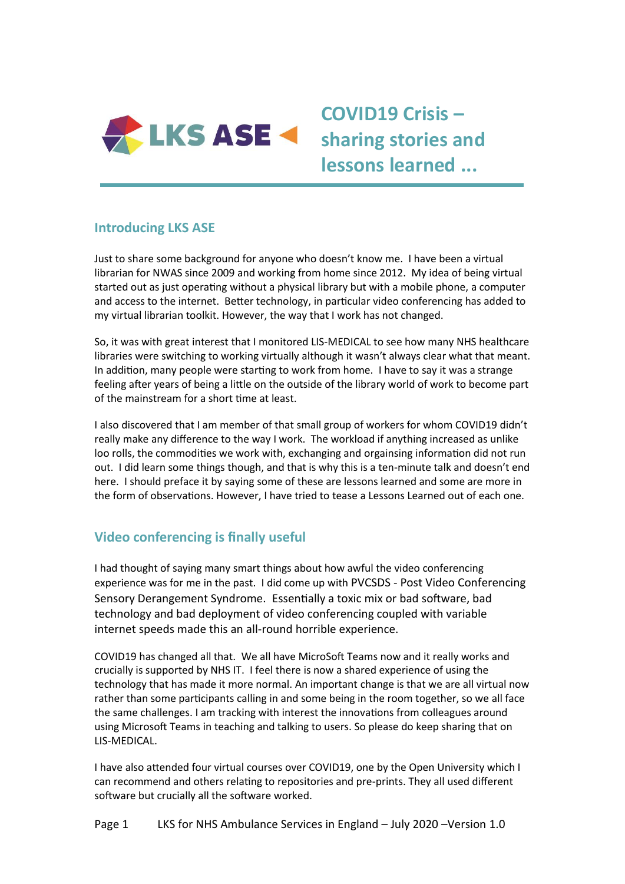

# **COVID19 Crisis – sharing stories and lessons learned ...**

## **Introducing LKS ASE**

Just to share some background for anyone who doesn't know me. I have been a virtual librarian for NWAS since 2009 and working from home since 2012. My idea of being virtual started out as just operating without a physical library but with a mobile phone, a computer and access to the internet. Better technology, in particular video conferencing has added to my virtual librarian toolkit. However, the way that I work has not changed.

So, it was with great interest that I monitored LIS-MEDICAL to see how many NHS healthcare libraries were switching to working virtually although it wasn't always clear what that meant. In addition, many people were starting to work from home. I have to say it was a strange feeling after years of being a little on the outside of the library world of work to become part of the mainstream for a short time at least.

I also discovered that I am member of that small group of workers for whom COVID19 didn't really make any difference to the way I work. The workload if anything increased as unlike loo rolls, the commodities we work with, exchanging and orgainsing information did not run out. I did learn some things though, and that is why this is a ten-minute talk and doesn't end here. I should preface it by saying some of these are lessons learned and some are more in the form of observations. However, I have tried to tease a Lessons Learned out of each one.

## **Video conferencing is finally useful**

I had thought of saying many smart things about how awful the video conferencing experience was for me in the past. I did come up with PVCSDS - Post Video Conferencing Sensory Derangement Syndrome. Essentially a toxic mix or bad software, bad technology and bad deployment of video conferencing coupled with variable internet speeds made this an all-round horrible experience.

COVID19 has changed all that. We all have MicroSoft Teams now and it really works and crucially is supported by NHS IT. I feel there is now a shared experience of using the technology that has made it more normal. An important change is that we are all virtual now rather than some participants calling in and some being in the room together, so we all face the same challenges. I am tracking with interest the innovations from colleagues around using Microsoft Teams in teaching and talking to users. So please do keep sharing that on LIS-MEDICAL.

I have also attended four virtual courses over COVID19, one by the Open University which I can recommend and others relating to repositories and pre-prints. They all used different software but crucially all the software worked.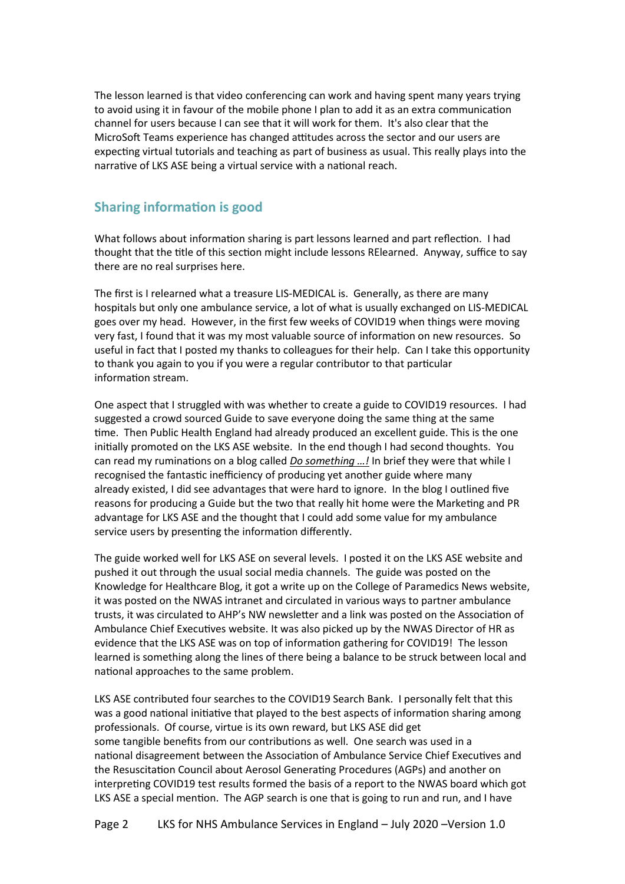The lesson learned is that video conferencing can work and having spent many years trying to avoid using it in favour of the mobile phone I plan to add it as an extra communication channel for users because I can see that it will work for them. It's also clear that the MicroSoft Teams experience has changed attitudes across the sector and our users are expecting virtual tutorials and teaching as part of business as usual. This really plays into the narrative of LKS ASE being a virtual service with a national reach.

### **Sharing information is good**

What follows about information sharing is part lessons learned and part reflection. I had thought that the title of this section might include lessons RElearned. Anyway, suffice to say there are no real surprises here.

The first is I relearned what a treasure LIS-MEDICAL is. Generally, as there are many hospitals but only one ambulance service, a lot of what is usually exchanged on LIS-MEDICAL goes over my head. However, in the first few weeks of COVID19 when things were moving very fast, I found that it was my most valuable source of information on new resources. So useful in fact that I posted my thanks to colleagues for their help. Can I take this opportunity to thank you again to you if you were a regular contributor to that particular information stream.

One aspect that I struggled with was whether to create a guide to COVID19 resources. I had suggested a crowd sourced Guide to save everyone doing the same thing at the same time. Then Public Health England had already produced an excellent guide. This is the one initially promoted on the LKS ASE website. In the end though I had second thoughts. You can read my ruminations on a blog called *[Do something …!](https://www.lksnorth.nhs.uk/blog/posts/do-something/)* In brief they were that while I recognised the fantastic inefficiency of producing yet another guide where many already existed, I did see advantages that were hard to ignore. In the blog I outlined five reasons for producing a Guide but the two that really hit home were the Marketing and PR advantage for LKS ASE and the thought that I could add some value for my ambulance service users by presenting the information differently.

The guide worked well for LKS ASE on several levels. I posted it on the LKS ASE website and pushed it out through the usual social media channels. The guide was posted on the Knowledge for Healthcare Blog, it got a write up on the College of Paramedics News website, it was posted on the NWAS intranet and circulated in various ways to partner ambulance trusts, it was circulated to AHP's NW newsletter and a link was posted on the Association of Ambulance Chief Executives website. It was also picked up by the NWAS Director of HR as evidence that the LKS ASE was on top of information gathering for COVID19! The lesson learned is something along the lines of there being a balance to be struck between local and national approaches to the same problem.

LKS ASE contributed four searches to the COVID19 Search Bank. I personally felt that this was a good national initiative that played to the best aspects of information sharing among professionals. Of course, virtue is its own reward, but LKS ASE did get some tangible benefits from our contributions as well. One search was used in a national disagreement between the Association of Ambulance Service Chief Executives and the Resuscitation Council about Aerosol Generating Procedures (AGPs) and another on interpreting COVID19 test results formed the basis of a report to the NWAS board which got LKS ASE a special mention. The AGP search is one that is going to run and run, and I have